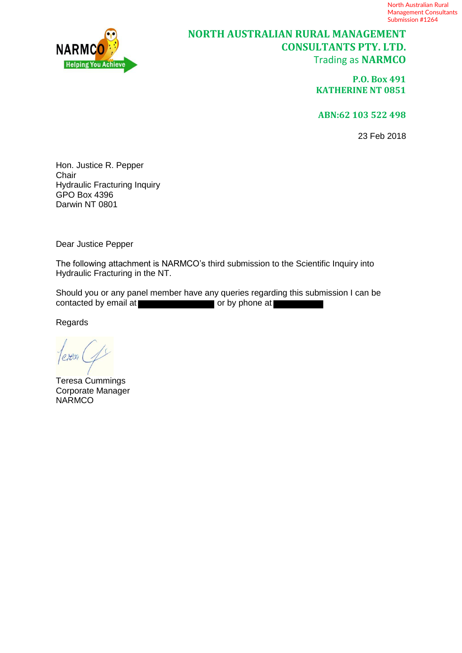

# **NORTH AUSTRALIAN RURAL MANAGEMENT CONSULTANTS PTY. LTD.** Trading as **NARMCO**

**P.O. Box 491 KATHERINE NT 0851**

**ABN:62 103 522 498**

23 Feb 2018

Hon. Justice R. Pepper Chair Hydraulic Fracturing Inquiry GPO Box 4396 Darwin NT 0801

Dear Justice Pepper

The following attachment is NARMCO's third submission to the Scientific Inquiry into Hydraulic Fracturing in the NT.

Should you or any panel member have any queries regarding this submission I can be contacted by email at  $\blacksquare$  or by phone at  $\blacksquare$ contact by phone at

Regards

Teresa Cummings Corporate Manager NARMCO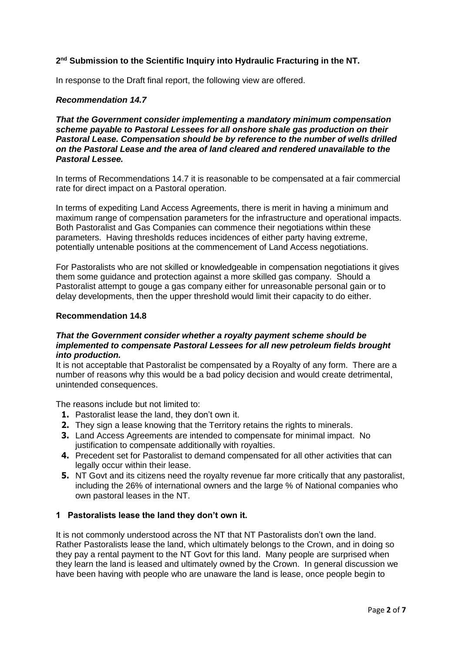# **2 nd Submission to the Scientific Inquiry into Hydraulic Fracturing in the NT.**

In response to the Draft final report, the following view are offered.

#### *Recommendation 14.7*

*That the Government consider implementing a mandatory minimum compensation scheme payable to Pastoral Lessees for all onshore shale gas production on their Pastoral Lease. Compensation should be by reference to the number of wells drilled on the Pastoral Lease and the area of land cleared and rendered unavailable to the Pastoral Lessee.*

In terms of Recommendations 14.7 it is reasonable to be compensated at a fair commercial rate for direct impact on a Pastoral operation.

In terms of expediting Land Access Agreements, there is merit in having a minimum and maximum range of compensation parameters for the infrastructure and operational impacts. Both Pastoralist and Gas Companies can commence their negotiations within these parameters. Having thresholds reduces incidences of either party having extreme, potentially untenable positions at the commencement of Land Access negotiations.

For Pastoralists who are not skilled or knowledgeable in compensation negotiations it gives them some guidance and protection against a more skilled gas company. Should a Pastoralist attempt to gouge a gas company either for unreasonable personal gain or to delay developments, then the upper threshold would limit their capacity to do either.

#### **Recommendation 14.8**

## *That the Government consider whether a royalty payment scheme should be implemented to compensate Pastoral Lessees for all new petroleum fields brought into production.*

It is not acceptable that Pastoralist be compensated by a Royalty of any form. There are a number of reasons why this would be a bad policy decision and would create detrimental, unintended consequences.

The reasons include but not limited to:

- **1.** Pastoralist lease the land, they don't own it.
- **2.** They sign a lease knowing that the Territory retains the rights to minerals.
- **3.** Land Access Agreements are intended to compensate for minimal impact. No justification to compensate additionally with royalties.
- **4.** Precedent set for Pastoralist to demand compensated for all other activities that can legally occur within their lease.
- **5.** NT Govt and its citizens need the royalty revenue far more critically that any pastoralist, including the 26% of international owners and the large % of National companies who own pastoral leases in the NT.

#### **1 Pastoralists lease the land they don't own it.**

It is not commonly understood across the NT that NT Pastoralists don't own the land. Rather Pastoralists lease the land, which ultimately belongs to the Crown, and in doing so they pay a rental payment to the NT Govt for this land. Many people are surprised when they learn the land is leased and ultimately owned by the Crown. In general discussion we have been having with people who are unaware the land is lease, once people begin to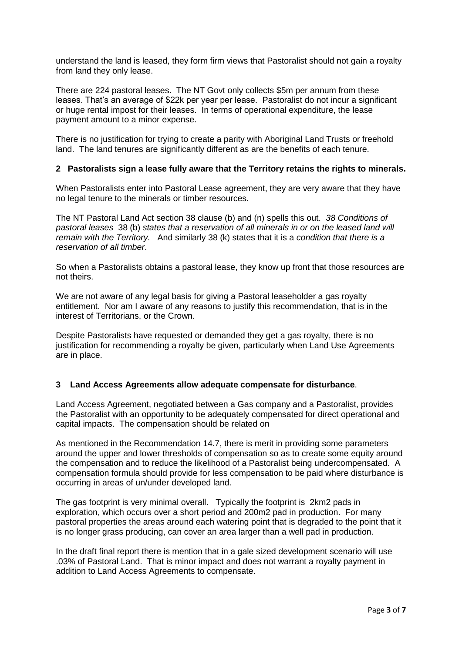understand the land is leased, they form firm views that Pastoralist should not gain a royalty from land they only lease.

There are 224 pastoral leases. The NT Govt only collects \$5m per annum from these leases. That's an average of \$22k per year per lease. Pastoralist do not incur a significant or huge rental impost for their leases. In terms of operational expenditure, the lease payment amount to a minor expense.

There is no justification for trying to create a parity with Aboriginal Land Trusts or freehold land. The land tenures are significantly different as are the benefits of each tenure.

## **2 Pastoralists sign a lease fully aware that the Territory retains the rights to minerals.**

When Pastoralists enter into Pastoral Lease agreement, they are very aware that they have no legal tenure to the minerals or timber resources.

The NT Pastoral Land Act section 38 clause (b) and (n) spells this out. *38 Conditions of pastoral leases* 38 (b) *states that a reservation of all minerals in or on the leased land will remain with the Territory.* And similarly 38 (k) states that it is a *condition that there is a reservation of all timber*.

So when a Pastoralists obtains a pastoral lease, they know up front that those resources are not theirs.

We are not aware of any legal basis for giving a Pastoral leaseholder a gas royalty entitlement. Nor am I aware of any reasons to justify this recommendation, that is in the interest of Territorians, or the Crown.

Despite Pastoralists have requested or demanded they get a gas royalty, there is no justification for recommending a royalty be given, particularly when Land Use Agreements are in place.

#### **3 Land Access Agreements allow adequate compensate for disturbance**.

Land Access Agreement, negotiated between a Gas company and a Pastoralist, provides the Pastoralist with an opportunity to be adequately compensated for direct operational and capital impacts. The compensation should be related on

As mentioned in the Recommendation 14.7, there is merit in providing some parameters around the upper and lower thresholds of compensation so as to create some equity around the compensation and to reduce the likelihood of a Pastoralist being undercompensated. A compensation formula should provide for less compensation to be paid where disturbance is occurring in areas of un/under developed land.

The gas footprint is very minimal overall. Typically the footprint is 2km2 pads in exploration, which occurs over a short period and 200m2 pad in production. For many pastoral properties the areas around each watering point that is degraded to the point that it is no longer grass producing, can cover an area larger than a well pad in production.

In the draft final report there is mention that in a gale sized development scenario will use .03% of Pastoral Land. That is minor impact and does not warrant a royalty payment in addition to Land Access Agreements to compensate.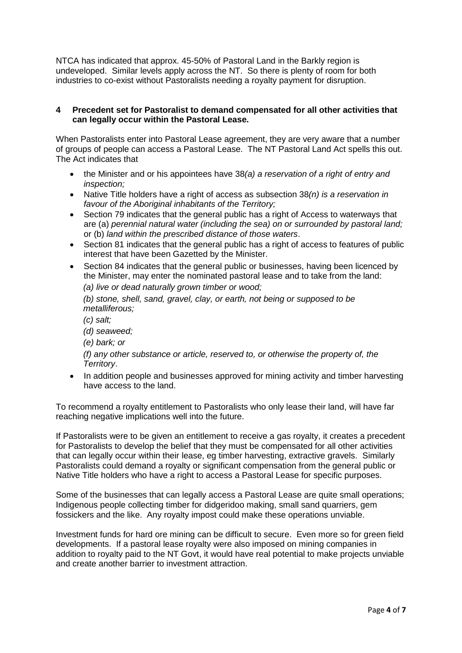NTCA has indicated that approx. 45-50% of Pastoral Land in the Barkly region is undeveloped. Similar levels apply across the NT. So there is plenty of room for both industries to co-exist without Pastoralists needing a royalty payment for disruption.

## **4 Precedent set for Pastoralist to demand compensated for all other activities that can legally occur within the Pastoral Lease.**

When Pastoralists enter into Pastoral Lease agreement, they are very aware that a number of groups of people can access a Pastoral Lease. The NT Pastoral Land Act spells this out. The Act indicates that

- the Minister and or his appointees have 38*(a) a reservation of a right of entry and inspection;*
- Native Title holders have a right of access as subsection 38*(n) is a reservation in favour of the Aboriginal inhabitants of the Territory;*
- Section 79 indicates that the general public has a right of Access to waterways that are (a) *perennial natural water (including the sea) on or surrounded by pastoral land;* or (b) *land within the prescribed distance of those waters*.
- Section 81 indicates that the general public has a right of access to features of public interest that have been Gazetted by the Minister.
- Section 84 indicates that the general public or businesses, having been licenced by the Minister, may enter the nominated pastoral lease and to take from the land: *(a) live or dead naturally grown timber or wood;*

*(b) stone, shell, sand, gravel, clay, or earth, not being or supposed to be metalliferous;* 

*(c) salt;* 

*(d) seaweed;* 

*(e) bark; or* 

*(f) any other substance or article, reserved to, or otherwise the property of, the Territory*.

• In addition people and businesses approved for mining activity and timber harvesting have access to the land.

To recommend a royalty entitlement to Pastoralists who only lease their land, will have far reaching negative implications well into the future.

If Pastoralists were to be given an entitlement to receive a gas royalty, it creates a precedent for Pastoralists to develop the belief that they must be compensated for all other activities that can legally occur within their lease, eg timber harvesting, extractive gravels. Similarly Pastoralists could demand a royalty or significant compensation from the general public or Native Title holders who have a right to access a Pastoral Lease for specific purposes.

Some of the businesses that can legally access a Pastoral Lease are quite small operations; Indigenous people collecting timber for didgeridoo making, small sand quarriers, gem fossickers and the like. Any royalty impost could make these operations unviable.

Investment funds for hard ore mining can be difficult to secure. Even more so for green field developments. If a pastoral lease royalty were also imposed on mining companies in addition to royalty paid to the NT Govt, it would have real potential to make projects unviable and create another barrier to investment attraction.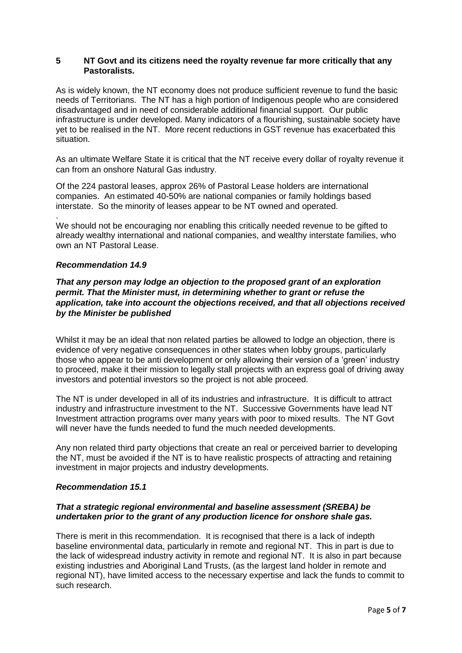## **5 NT Govt and its citizens need the royalty revenue far more critically that any Pastoralists.**

As is widely known, the NT economy does not produce sufficient revenue to fund the basic needs of Territorians. The NT has a high portion of Indigenous people who are considered disadvantaged and in need of considerable additional financial support. Our public infrastructure is under developed. Many indicators of a flourishing, sustainable society have yet to be realised in the NT. More recent reductions in GST revenue has exacerbated this situation.

As an ultimate Welfare State it is critical that the NT receive every dollar of royalty revenue it can from an onshore Natural Gas industry.

Of the 224 pastoral leases, approx 26% of Pastoral Lease holders are international companies. An estimated 40-50% are national companies or family holdings based interstate. So the minority of leases appear to be NT owned and operated.

. We should not be encouraging nor enabling this critically needed revenue to be gifted to already wealthy international and national companies, and wealthy interstate families, who own an NT Pastoral Lease.

#### *Recommendation 14.9*

# *That any person may lodge an objection to the proposed grant of an exploration permit. That the Minister must, in determining whether to grant or refuse the application, take into account the objections received, and that all objections received by the Minister be published*

Whilst it may be an ideal that non related parties be allowed to lodge an objection, there is evidence of very negative consequences in other states when lobby groups, particularly those who appear to be anti development or only allowing their version of a 'green' industry to proceed, make it their mission to legally stall projects with an express goal of driving away investors and potential investors so the project is not able proceed.

The NT is under developed in all of its industries and infrastructure. It is difficult to attract industry and infrastructure investment to the NT. Successive Governments have lead NT Investment attraction programs over many years with poor to mixed results. The NT Govt will never have the funds needed to fund the much needed developments.

Any non related third party objections that create an real or perceived barrier to developing the NT, must be avoided if the NT is to have realistic prospects of attracting and retaining investment in major projects and industry developments.

#### *Recommendation 15.1*

## *That a strategic regional environmental and baseline assessment (SREBA) be undertaken prior to the grant of any production licence for onshore shale gas.*

There is merit in this recommendation. It is recognised that there is a lack of indepth baseline environmental data, particularly in remote and regional NT. This in part is due to the lack of widespread industry activity in remote and regional NT. It is also in part because existing industries and Aboriginal Land Trusts, (as the largest land holder in remote and regional NT), have limited access to the necessary expertise and lack the funds to commit to such research.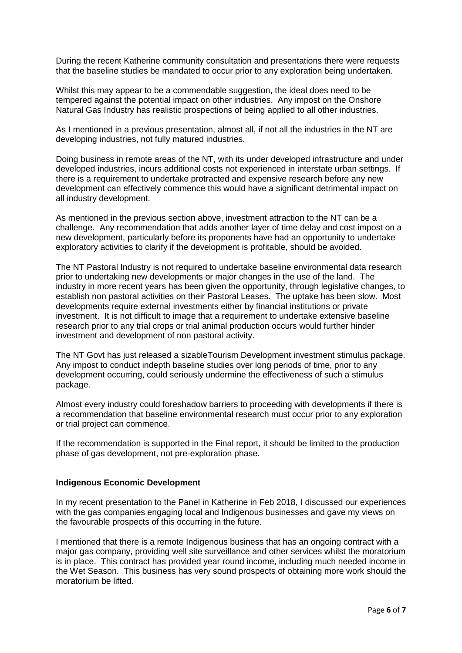During the recent Katherine community consultation and presentations there were requests that the baseline studies be mandated to occur prior to any exploration being undertaken.

Whilst this may appear to be a commendable suggestion, the ideal does need to be tempered against the potential impact on other industries. Any impost on the Onshore Natural Gas Industry has realistic prospections of being applied to all other industries.

As I mentioned in a previous presentation, almost all, if not all the industries in the NT are developing industries, not fully matured industries.

Doing business in remote areas of the NT, with its under developed infrastructure and under developed industries, incurs additional costs not experienced in interstate urban settings. If there is a requirement to undertake protracted and expensive research before any new development can effectively commence this would have a significant detrimental impact on all industry development.

As mentioned in the previous section above, investment attraction to the NT can be a challenge. Any recommendation that adds another layer of time delay and cost impost on a new development, particularly before its proponents have had an opportunity to undertake exploratory activities to clarify if the development is profitable, should be avoided.

The NT Pastoral Industry is not required to undertake baseline environmental data research prior to undertaking new developments or major changes in the use of the land. The industry in more recent years has been given the opportunity, through legislative changes, to establish non pastoral activities on their Pastoral Leases. The uptake has been slow. Most developments require external investments either by financial institutions or private investment. It is not difficult to image that a requirement to undertake extensive baseline research prior to any trial crops or trial animal production occurs would further hinder investment and development of non pastoral activity.

The NT Govt has just released a sizableTourism Development investment stimulus package. Any impost to conduct indepth baseline studies over long periods of time, prior to any development occurring, could seriously undermine the effectiveness of such a stimulus package.

Almost every industry could foreshadow barriers to proceeding with developments if there is a recommendation that baseline environmental research must occur prior to any exploration or trial project can commence.

If the recommendation is supported in the Final report, it should be limited to the production phase of gas development, not pre-exploration phase.

#### **Indigenous Economic Development**

In my recent presentation to the Panel in Katherine in Feb 2018, I discussed our experiences with the gas companies engaging local and Indigenous businesses and gave my views on the favourable prospects of this occurring in the future.

I mentioned that there is a remote Indigenous business that has an ongoing contract with a major gas company, providing well site surveillance and other services whilst the moratorium is in place. This contract has provided year round income, including much needed income in the Wet Season. This business has very sound prospects of obtaining more work should the moratorium be lifted.